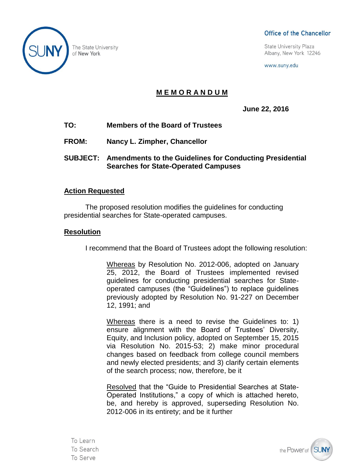The State University of New York

# Board Resolution -1- Month, Day, Year & Company Company Company Company Company Company Company Company Company Company Company Company Company Company Company Company Company Company Company Company Company Company Compan

**State University Plaza** Albany, New York 12246

www.suny.edu

# **M E M O R A N D U M**

**June 22, 2016**

- **TO: Members of the Board of Trustees**
- **FROM: Nancy L. Zimpher, Chancellor**
- **SUBJECT: Amendments to the Guidelines for Conducting Presidential Searches for State-Operated Campuses**

## **Action Requested**

The proposed resolution modifies the guidelines for conducting presidential searches for State-operated campuses.

### **Resolution**

I recommend that the Board of Trustees adopt the following resolution:

Whereas by Resolution No. 2012-006, adopted on January 25, 2012, the Board of Trustees implemented revised guidelines for conducting presidential searches for Stateoperated campuses (the "Guidelines") to replace guidelines previously adopted by Resolution No. 91-227 on December 12, 1991; and

Whereas there is a need to revise the Guidelines to: 1) ensure alignment with the Board of Trustees' Diversity, Equity, and Inclusion policy, adopted on September 15, 2015 via Resolution No. 2015-53; 2) make minor procedural changes based on feedback from college council members and newly elected presidents; and 3) clarify certain elements of the search process; now, therefore, be it

Resolved that the "Guide to Presidential Searches at State-Operated Institutions," a copy of which is attached hereto, be, and hereby is approved, superseding Resolution No. 2012-006 in its entirety; and be it further

To Learn To Search To Serve